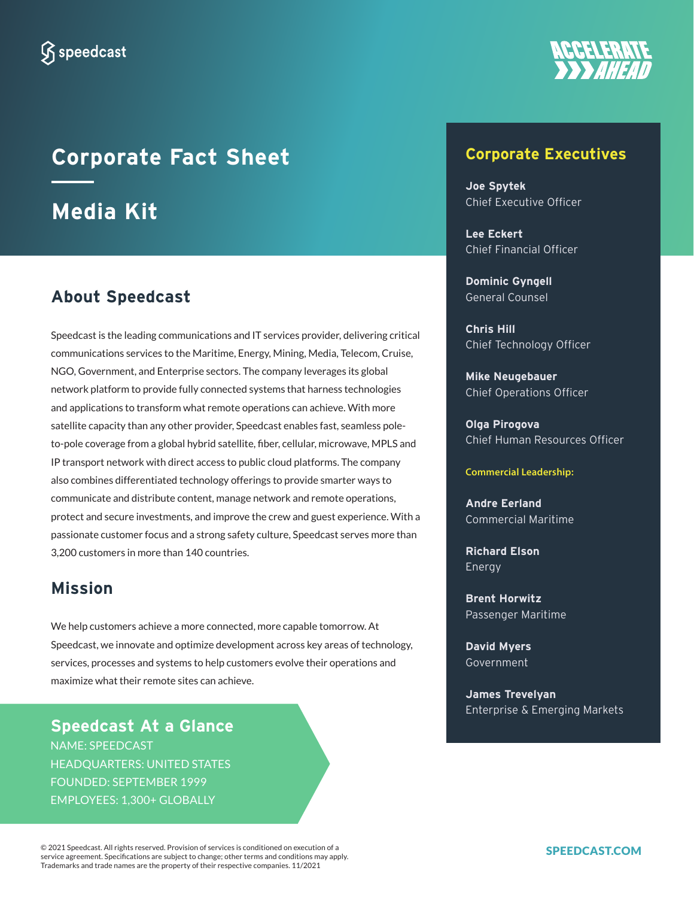

# **Corporate Fact Sheet Media Kit**

# **About Speedcast**

Speedcast is the leading communications and IT services provider, delivering critical communications services to the Maritime, Energy, Mining, Media, Telecom, Cruise, NGO, Government, and Enterprise sectors. The company leverages its global network platform to provide fully connected systems that harness technologies and applications to transform what remote operations can achieve. With more satellite capacity than any other provider, Speedcast enables fast, seamless poleto-pole coverage from a global hybrid satellite, fiber, cellular, microwave, MPLS and IP transport network with direct access to public cloud platforms. The company also combines differentiated technology offerings to provide smarter ways to communicate and distribute content, manage network and remote operations, protect and secure investments, and improve the crew and guest experience. With a passionate customer focus and a strong safety culture, Speedcast serves more than 3,200 customers in more than 140 countries.

# **Mission**

We help customers achieve a more connected, more capable tomorrow. At Speedcast, we innovate and optimize development across key areas of technology, services, processes and systems to help customers evolve their operations and maximize what their remote sites can achieve.

**Speedcast At a Glance** NAME: SPEEDCAST HEADQUARTERS: UNITED STATES FOUNDED: SEPTEMBER 1999 EMPLOYEES: 1,300+ GLOBALLY

**Corporate Executives**

**Joe Spytek** Chief Executive Officer

**Lee Eckert**  Chief Financial Officer

**Dominic Gyngell** General Counsel

**Chris Hill** Chief Technology Officer

**Mike Neugebauer** Chief Operations Officer

**Olga Pirogova**  Chief Human Resources Officer

**Commercial Leadership:**

**Andre Eerland** Commercial Maritime

**Richard Elson** Energy

**Brent Horwitz** Passenger Maritime

**David Myers** Government

**James Trevelyan** Enterprise & Emerging Markets

© 2021 Speedcast. All rights reserved. Provision of services is conditioned on execution of a © 2021 Speedcast. All rights reserved. Provision of services is conditioned on execution of a<br>service agreement. Specifications are subject to change; other terms and conditions may apply. Trademarks and trade names are the property of their respective companies. 11/2021